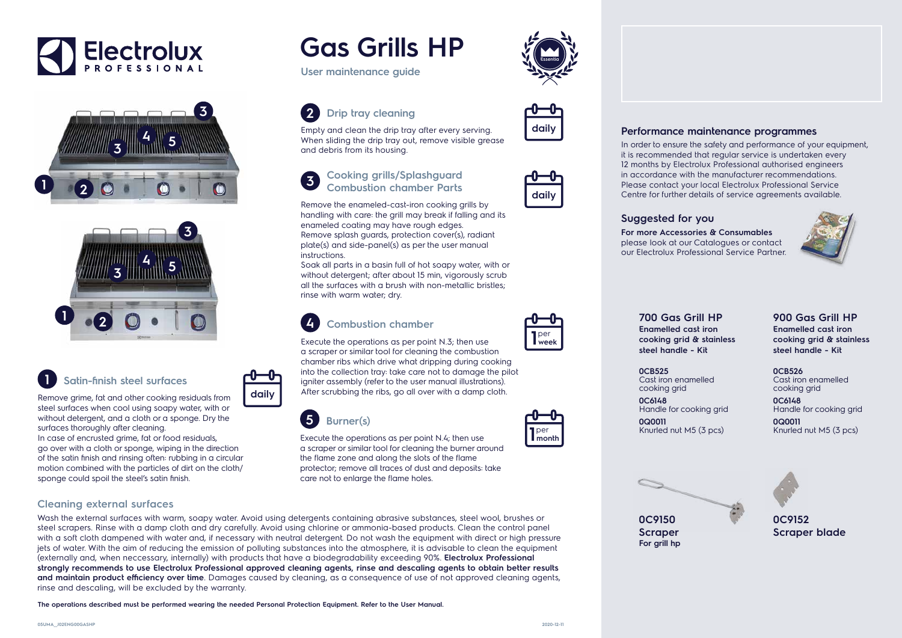

**0C9152 Scraper blade**

**0C9150 Scraper For grill hp**

## **Gas Grills HP**

### **1 Satin-finish steel surfaces**

Remove grime, fat and other cooking residuals from steel surfaces when cool using soapy water, with or without detergent, and a cloth or a sponge. Dry the surfaces thoroughly after cleaning.

In case of encrusted grime, fat or food residuals, go over with a cloth or sponge, wiping in the direction of the satin finish and rinsing often: rubbing in a circular motion combined with the particles of dirt on the cloth/ sponge could spoil the steel's satin finish.

Empty and clean the drip tray after every serving. When sliding the drip tray out, remove visible grease

# **daily**



**User maintenance guide**

**700 Gas Grill HP Enamelled cast iron cooking grid & stainless steel handle - Kit**

**0CB525**  Cast iron enamelled cooking grid

Handle for cooking grid

**0C6148 0Q0011** 



Knurled nut M5 (3 pcs)



**900 Gas Grill HP Enamelled cast iron cooking grid & stainless steel handle - Kit**

**0CB526**  Cast iron enamelled cooking grid

**0C6148** Handle for cooking grid

**0Q0011**  Knurled nut M5 (3 pcs)





**2 Drip tray cleaning**

and debris from its housing.



**4 Combustion chamber**

Execute the operations as per point N.3; then use a scraper or similar tool for cleaning the combustion chamber ribs which drive what dripping during cooking into the collection tray: take care not to damage the pilot igniter assembly (refer to the user manual illustrations). After scrubbing the ribs, go all over with a damp cloth.

per **1week**

**1** per<br>**1** month

**3 Cooking grills/Splashguard Combustion chamber Parts**

Remove the enameled-cast-iron cooking grills by handling with care: the grill may break if falling and its

enameled coating may have rough edges.

Remove splash guards, protection cover(s), radiant plate(s) and side-panel(s) as per the user manual

instructions.

Soak all parts in a basin full of hot soapy water, with or without detergent; after about 15 min, vigorously scrub all the surfaces with a brush with non-metallic bristles;

rinse with warm water; dry.

**daily**

**5 Burner(s)**

Execute the operations as per point N.4; then use a scraper or similar tool for cleaning the burner around

the flame zone and along the slots of the flame

protector; remove all traces of dust and deposits: take

care not to enlarge the flame holes.

#### **Cleaning external surfaces**

Wash the external surfaces with warm, soapy water. Avoid using detergents containing abrasive substances, steel wool, brushes or steel scrapers. Rinse with a damp cloth and dry carefully. Avoid using chlorine or ammonia-based products. Clean the control panel with a soft cloth dampened with water and, if necessary with neutral detergent. Do not wash the equipment with direct or high pressure jets of water. With the aim of reducing the emission of polluting substances into the atmosphere, it is advisable to clean the equipment (externally and, when neccessary, internally) with products that have a biodegradability exceeding 90%. **Electrolux Professional strongly recommends to use Electrolux Professional approved cleaning agents, rinse and descaling agents to obtain better results and maintain product efficiency over time**. Damages caused by cleaning, as a consequence of use of not approved cleaning agents, rinse and descaling, will be excluded by the warranty.

**The operations described must be performed wearing the needed Personal Protection Equipment. Refer to the User Manual.**

#### **Suggested for you**

**For more Accessories & Consumables**  please look at our Catalogues or contact our Electrolux Professional Service Partner.

#### **Performance maintenance programmes**

In order to ensure the safety and performance of your equipment, it is recommended that regular service is undertaken every 12 months by Electrolux Professional authorised engineers in accordance with the manufacturer recommendations. Please contact your local Electrolux Professional Service Centre for further details of service agreements available.